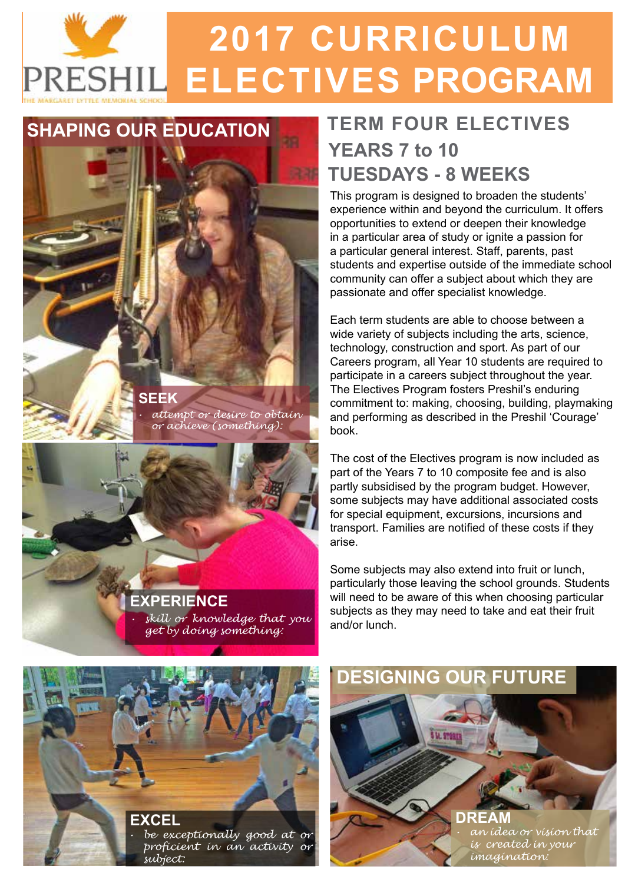# **2017 CURRICULUM** PRESHIL ELECTIVES PROGRAM

#### **SHAPING OUR EDUCATION**

#### **SEEK** *• attempt or desire to obtain or achieve (something):*

#### *• skill or knowledge that you get by doing something:* **EXPERIENCE**

### **TERM FOUR ELECTIVES YEARS 7 to 10 TUESDAYS - 8 WEEKS**

This program is designed to broaden the students' experience within and beyond the curriculum. It offers opportunities to extend or deepen their knowledge in a particular area of study or ignite a passion for a particular general interest. Staff, parents, past students and expertise outside of the immediate school community can offer a subject about which they are passionate and offer specialist knowledge.

Each term students are able to choose between a wide variety of subjects including the arts, science, technology, construction and sport. As part of our Careers program, all Year 10 students are required to participate in a careers subject throughout the year. The Electives Program fosters Preshil's enduring commitment to: making, choosing, building, playmaking and performing as described in the Preshil 'Courage' book.

The cost of the Electives program is now included as part of the Years 7 to 10 composite fee and is also partly subsidised by the program budget. However, some subjects may have additional associated costs for special equipment, excursions, incursions and transport. Families are notified of these costs if they arise.

Some subjects may also extend into fruit or lunch, particularly those leaving the school grounds. Students will need to be aware of this when choosing particular subjects as they may need to take and eat their fruit and/or lunch.



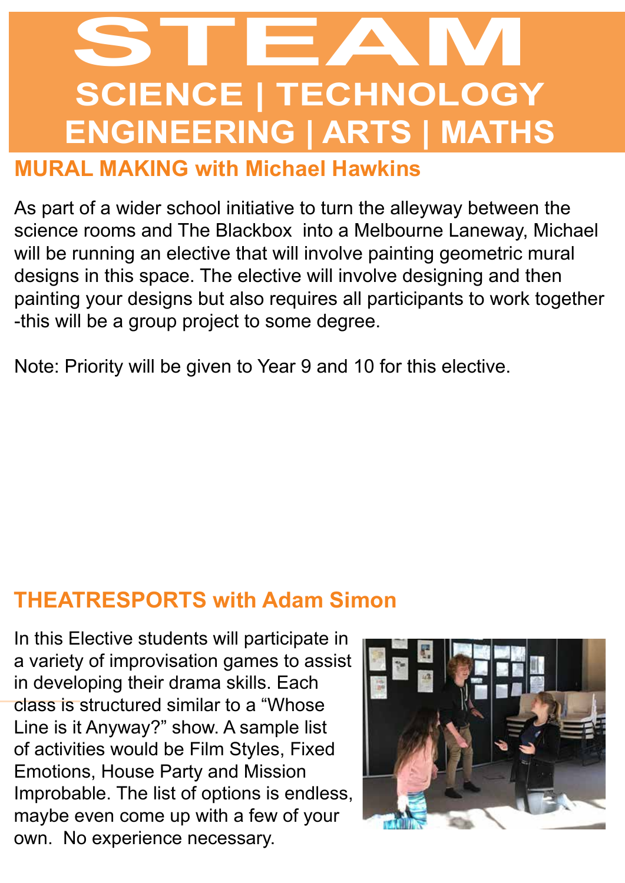# **SCIENCE | TECHNOLOGY ENGINEERING | ARTS | MATHS STEAM**

#### **MURAL MAKING with Michael Hawkins**

As part of a wider school initiative to turn the alleyway between the science rooms and The Blackbox into a Melbourne Laneway, Michael will be running an elective that will involve painting geometric mural designs in this space. The elective will involve designing and then painting your designs but also requires all participants to work together -this will be a group project to some degree.

Note: Priority will be given to Year 9 and 10 for this elective.

### **THEATRESPORTS with Adam Simon**

In this Elective students will participate in a variety of improvisation games to assist in developing their drama skills. Each class is structured similar to a "Whose Line is it Anyway?" show. A sample list of activities would be Film Styles, Fixed Emotions, House Party and Mission Improbable. The list of options is endless, maybe even come up with a few of your own. No experience necessary.

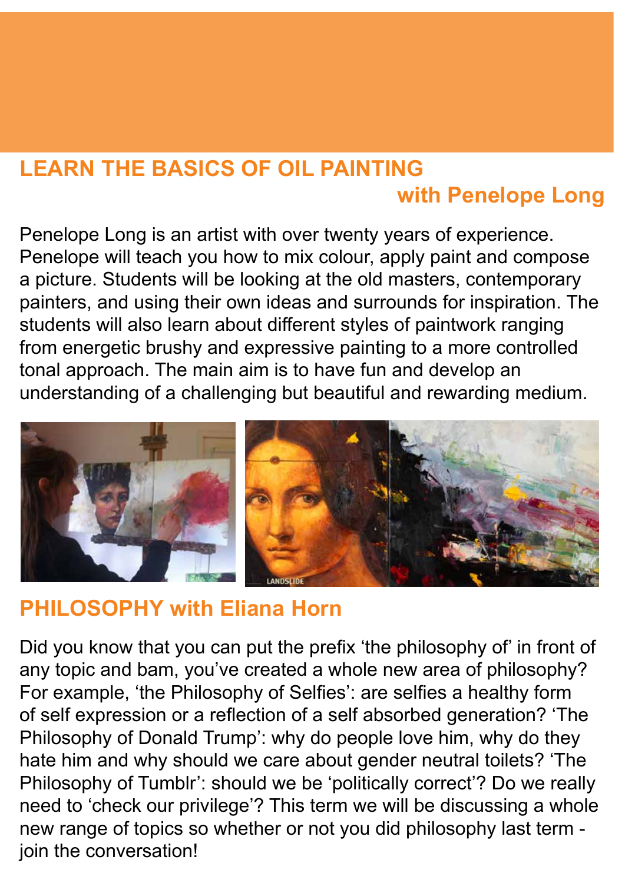### **LEARN THE BASICS OF OIL PAINTING with Penelope Long**

Penelope Long is an artist with over twenty years of experience. Penelope will teach you how to mix colour, apply paint and compose a picture. Students will be looking at the old masters, contemporary painters, and using their own ideas and surrounds for inspiration. The students will also learn about different styles of paintwork ranging from energetic brushy and expressive painting to a more controlled tonal approach. The main aim is to have fun and develop an understanding of a challenging but beautiful and rewarding medium.



### **PHILOSOPHY with Eliana Horn**

Did you know that you can put the prefix 'the philosophy of' in front of any topic and bam, you've created a whole new area of philosophy? For example, 'the Philosophy of Selfies': are selfies a healthy form of self expression or a reflection of a self absorbed generation? 'The Philosophy of Donald Trump': why do people love him, why do they hate him and why should we care about gender neutral toilets? 'The Philosophy of Tumblr': should we be 'politically correct'? Do we really need to 'check our privilege'? This term we will be discussing a whole new range of topics so whether or not you did philosophy last term join the conversation!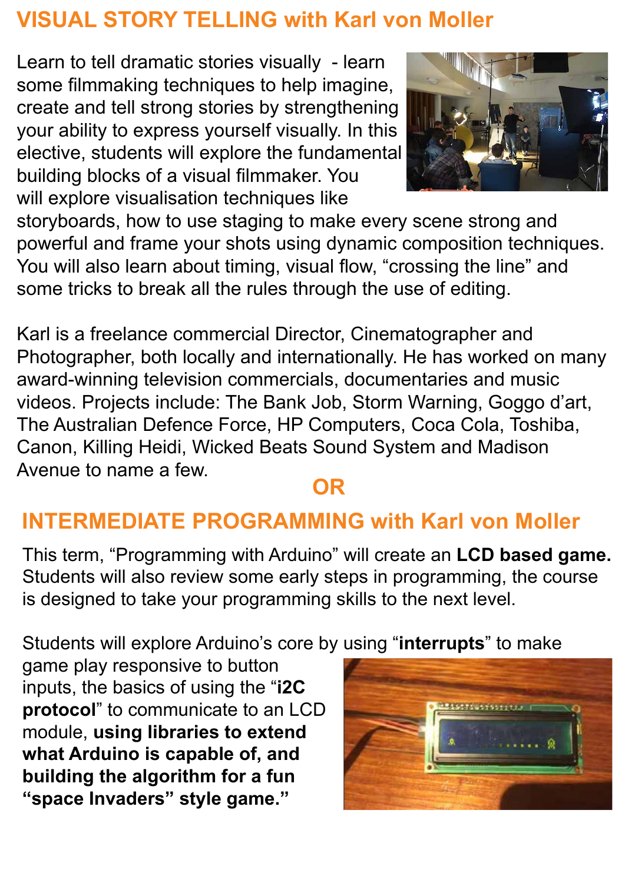### **VISUAL STORY TELLING with Karl von Moller**

Learn to tell dramatic stories visually - learn some filmmaking techniques to help imagine, create and tell strong stories by strengthening your ability to express yourself visually. In this elective, students will explore the fundamental building blocks of a visual filmmaker. You will explore visualisation techniques like



storyboards, how to use staging to make every scene strong and powerful and frame your shots using dynamic composition techniques. You will also learn about timing, visual flow, "crossing the line" and some tricks to break all the rules through the use of editing.

Karl is a freelance commercial Director, Cinematographer and Photographer, both locally and internationally. He has worked on many award-winning television commercials, documentaries and music videos. Projects include: The Bank Job, Storm Warning, Goggo d'art, The Australian Defence Force, HP Computers, Coca Cola, Toshiba, Canon, Killing Heidi, Wicked Beats Sound System and Madison Avenue to name a few.

### **OR**

### **INTERMEDIATE PROGRAMMING with Karl von Moller**

This term, "Programming with Arduino" will create an **LCD based game.** Students will also review some early steps in programming, the course is designed to take your programming skills to the next level.

Students will explore Arduino's core by using "**interrupts**" to make

game play responsive to button inputs, the basics of using the "**i2C protocol**" to communicate to an LCD module, **using libraries to extend what Arduino is capable of, and building the algorithm for a fun "space Invaders" style game."** 

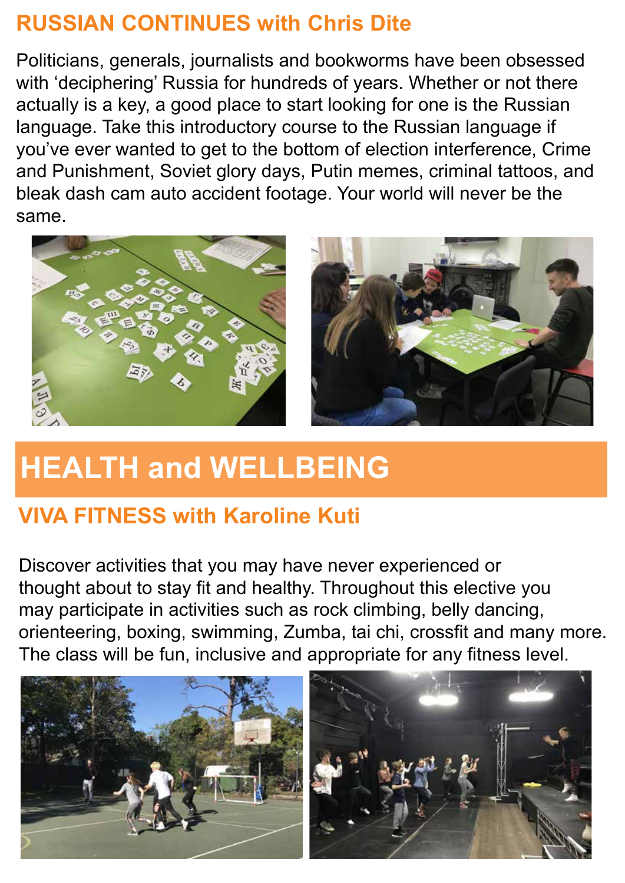### **RUSSIAN CONTINUES with Chris Dite**

Politicians, generals, journalists and bookworms have been obsessed with 'deciphering' Russia for hundreds of years. Whether or not there actually is a key, a good place to start looking for one is the Russian language. Take this introductory course to the Russian language if you've ever wanted to get to the bottom of election interference, Crime and Punishment, Soviet glory days, Putin memes, criminal tattoos, and bleak dash cam auto accident footage. Your world will never be the same.



### **HEALTH and WELLBEING**

### **VIVA FITNESS with Karoline Kuti**

Discover activities that you may have never experienced or thought about to stay fit and healthy. Throughout this elective you may participate in activities such as rock climbing, belly dancing, orienteering, boxing, swimming, Zumba, tai chi, crossfit and many more. The class will be fun, inclusive and appropriate for any fitness level.

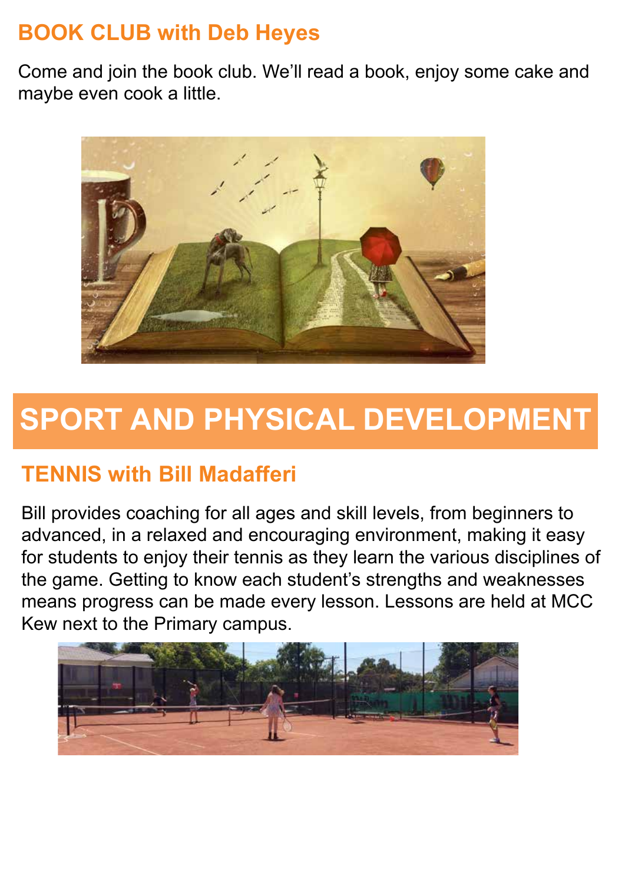### **BOOK CLUB with Deb Heyes**

Come and join the book club. We'll read a book, enjoy some cake and maybe even cook a little.



### **SPORT AND PHYSICAL DEVELOPMENT**

### **TENNIS with Bill Madafferi**

Bill provides coaching for all ages and skill levels, from beginners to advanced, in a relaxed and encouraging environment, making it easy for students to enjoy their tennis as they learn the various disciplines of the game. Getting to know each student's strengths and weaknesses means progress can be made every lesson. Lessons are held at MCC Kew next to the Primary campus.

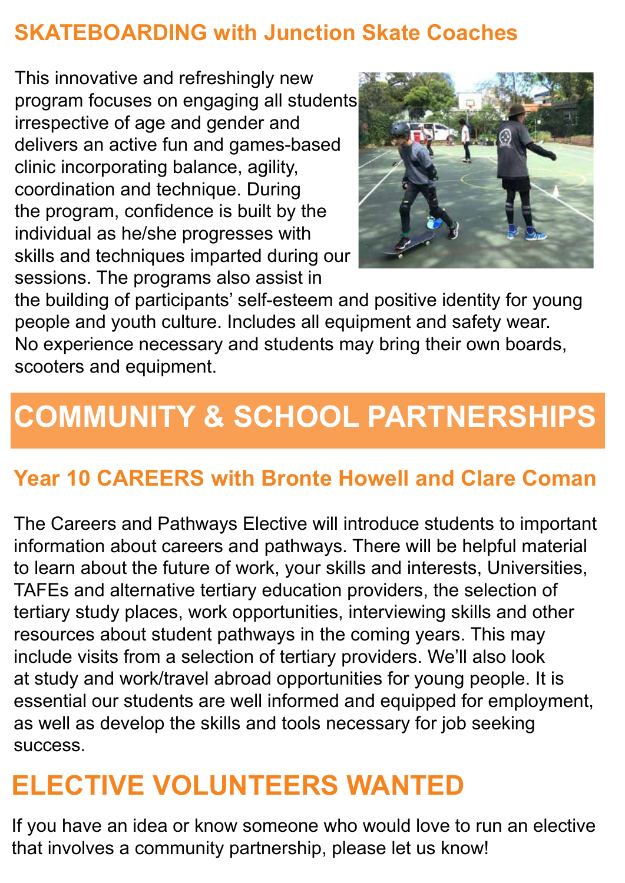### **SKATEBOARDING with Junction Skate Coaches**

This innovative and refreshingly new program focuses on engaging all students irrespective of age and gender and delivers an active fun and games-based clinic incorporating balance, agility, coordination and technique. During the program, confidence is built by the individual as he/she progresses with skills and techniques imparted during our sessions. The programs also assist in



the building of participants' self-esteem and positive identity for young people and youth culture. Includes all equipment and safety wear. No experience necessary and students may bring their own boards, scooters and equipment.

# **COMMUNITY & SCHOOL PARTNERSHIPS**

### **Year 10 CAREERS with Bronte Howell and Clare Coman**

The Careers and Pathways Elective will introduce students to important information about careers and pathways. There will be helpful material to learn about the future of work, your skills and interests, Universities, TAFEs and alternative tertiary education providers, the selection of tertiary study places, work opportunities, interviewing skills and other resources about student pathways in the coming years. This may include visits from a selection of tertiary providers. We'll also look at study and work/travel abroad opportunities for young people. It is essential our students are well informed and equipped for employment, as well as develop the skills and tools necessary for job seeking success.

### **ELECTIVE VOLUNTEERS WANTED**

If you have an idea or know someone who would love to run an elective that involves a community partnership, please let us know!